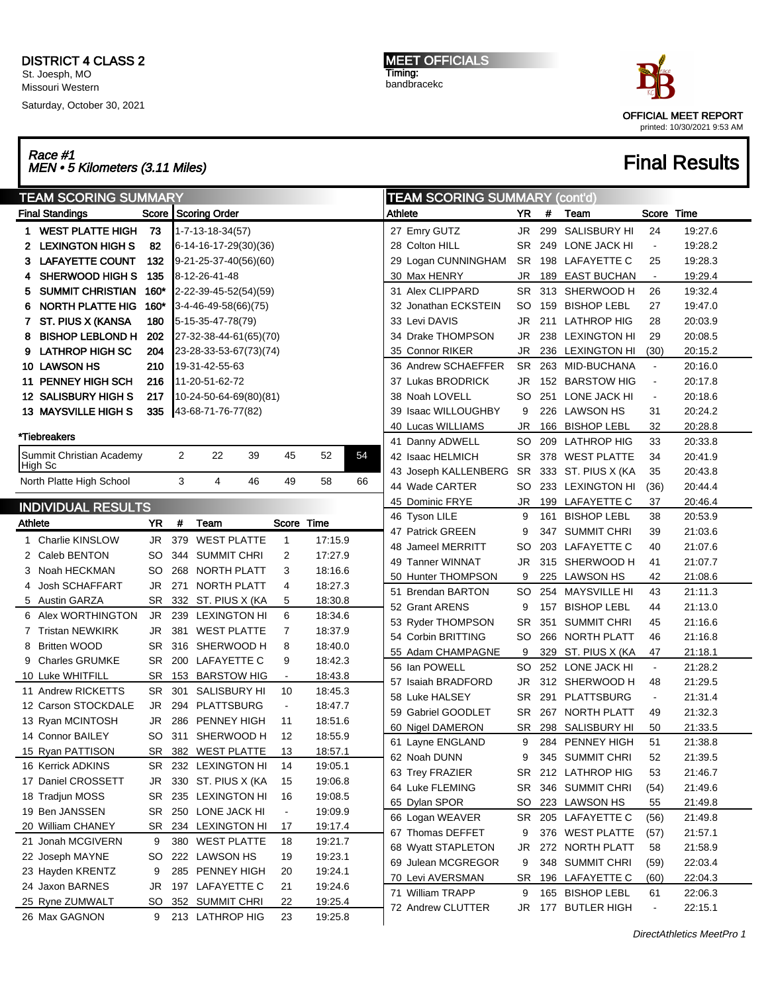Saturday, October 30, 2021

MEET OFFICIALS Timing: bandbracekc



## Race #1<br>MEN • 5 Kilometers (3.11 Miles) Final Results

|         | <b>TEAM SCORING SUMMARY</b>             |          |                |                                     |    |                          |                    |    |                     | <b>TEAM SCORING SUMMARY (cont'd)</b> |    |           |                  |                     |                |         |
|---------|-----------------------------------------|----------|----------------|-------------------------------------|----|--------------------------|--------------------|----|---------------------|--------------------------------------|----|-----------|------------------|---------------------|----------------|---------|
|         | <b>Final Standings</b>                  |          |                | Score Scoring Order                 |    |                          |                    |    | Athlete             |                                      |    | YR        | #                | Team                | Score Time     |         |
| 1.      | <b>WEST PLATTE HIGH</b>                 | 73       |                | 1-7-13-18-34(57)                    |    |                          |                    |    |                     | 27 Emry GUTZ                         |    | JR        |                  | 299 SALISBURY HI    | 24             | 19:27.6 |
| 2       | <b>LEXINGTON HIGH S</b>                 | 82       |                | 6-14-16-17-29(30)(36)               |    |                          |                    |    |                     | 28 Colton HILL                       |    | SR        | 249              | LONE JACK HI        | $\blacksquare$ | 19:28.2 |
| з       | <b>LAFAYETTE COUNT</b>                  | 132      |                | 9-21-25-37-40(56)(60)               |    |                          |                    |    |                     | 29 Logan CUNNINGHAM                  |    | SR        |                  | 198 LAFAYETTE C     | 25             | 19:28.3 |
|         | <b>SHERWOOD HIGH S</b>                  | 135      |                | 8-12-26-41-48                       |    |                          |                    |    |                     | 30 Max HENRY                         |    | JR        | 189              | <b>EAST BUCHAN</b>  | $\blacksquare$ | 19:29.4 |
| 5       | <b>SUMMIT CHRISTIAN</b>                 | $160*$   |                | 2-22-39-45-52(54)(59)               |    |                          |                    |    |                     | 31 Alex CLIPPARD                     |    | SR        |                  | 313 SHERWOOD H      | 26             | 19:32.4 |
| 6       | NORTH PLATTE HIG                        | $160*$   |                | 3-4-46-49-58(66)(75)                |    |                          |                    |    |                     | 32 Jonathan ECKSTEIN                 |    | SO        | 159              | <b>BISHOP LEBL</b>  | 27             | 19:47.0 |
|         | ST. PIUS X (KANSA                       | 180      |                | 5-15-35-47-78(79)                   |    |                          |                    |    |                     | 33 Levi DAVIS                        |    | JR        | 211              | <b>LATHROP HIG</b>  | 28             | 20:03.9 |
| 8       | <b>BISHOP LEBLOND H</b>                 | 202      |                | 27-32-38-44-61(65)(70)              |    |                          |                    |    |                     | 34 Drake THOMPSON                    |    | JR        | 238              | <b>LEXINGTON HI</b> | 29             | 20:08.5 |
| 9       | <b>LATHROP HIGH SC</b>                  | 204      |                | 23-28-33-53-67(73)(74)              |    |                          |                    |    | 35 Connor RIKER     |                                      | JR |           | 236 LEXINGTON HI | (30)                | 20:15.2        |         |
|         | 10 LAWSON HS                            | 210      |                | 19-31-42-55-63                      |    |                          |                    |    | 36 Andrew SCHAEFFER |                                      | SR |           | 263 MID-BUCHANA  | $\blacksquare$      | 20:16.0        |         |
|         | 11 PENNEY HIGH SCH                      | 216      |                | 11-20-51-62-72                      |    |                          |                    |    |                     | 37 Lukas BRODRICK                    |    | JR        | 152              | <b>BARSTOW HIG</b>  | $\blacksquare$ | 20:17.8 |
|         | 12 SALISBURY HIGH S                     | 217      |                | 10-24-50-64-69(80)(81)              |    |                          |                    |    |                     | 38 Noah LOVELL                       |    | SO        | 251              | LONE JACK HI        | $\blacksquare$ | 20:18.6 |
|         | <b>13 MAYSVILLE HIGH S</b>              | 335      |                | 43-68-71-76-77(82)                  |    |                          |                    |    |                     | 39 Isaac WILLOUGHBY                  |    | 9         | 226              | LAWSON HS           | 31             | 20:24.2 |
|         |                                         |          |                |                                     |    |                          |                    |    |                     | 40 Lucas WILLIAMS                    |    | JR        | 166              | <b>BISHOP LEBL</b>  | 32             | 20:28.8 |
|         | *Tiebreakers                            |          |                |                                     |    |                          |                    |    |                     | 41 Danny ADWELL                      |    | SO        | 209              | LATHROP HIG         | 33             | 20:33.8 |
|         | Summit Christian Academy                |          | $\overline{2}$ | 22                                  | 39 | 45                       | 52                 | 54 |                     | 42 Isaac HELMICH                     |    | SR        | 378              | <b>WEST PLATTE</b>  | 34             | 20:41.9 |
|         | ∣High Sc                                |          |                |                                     |    |                          |                    |    |                     | 43 Joseph KALLENBERG                 |    | <b>SR</b> |                  | 333 ST. PIUS X (KA  | 35             | 20:43.8 |
|         | North Platte High School                |          | 3              | 4                                   | 46 | 49                       | 58                 | 66 |                     | 44 Wade CARTER                       |    | SO        |                  | 233 LEXINGTON HI    | (36)           | 20:44.4 |
|         | <b>INDIVIDUAL RESULTS</b>               |          |                |                                     |    |                          |                    |    |                     | 45 Dominic FRYE                      |    | <b>JR</b> |                  | 199 LAFAYETTE C     | 37             | 20:46.4 |
| Athlete |                                         | YR       | #              | Team                                |    | Score Time               |                    |    |                     | 46 Tyson LILE                        |    | 9         | 161              | <b>BISHOP LEBL</b>  | 38             | 20:53.9 |
|         | 1 Charlie KINSLOW                       |          |                |                                     |    |                          |                    |    |                     | 47 Patrick GREEN                     |    | 9         |                  | 347 SUMMIT CHRI     | 39             | 21:03.6 |
|         |                                         | JR       |                | 379 WEST PLATTE                     |    | 1                        | 17:15.9            |    |                     | 48 Jameel MERRITT                    |    | SO        |                  | 203 LAFAYETTE C     | 40             | 21:07.6 |
|         | 2 Caleb BENTON                          | SO       |                | 344 SUMMIT CHRI                     |    | 2                        | 17:27.9<br>18:16.6 |    |                     | 49 Tanner WINNAT                     |    | JR        |                  | 315 SHERWOOD H      | 41             | 21:07.7 |
|         | 3 Noah HECKMAN                          | SO       |                | 268 NORTH PLATT                     |    | 3                        | 18:27.3            |    |                     | 50 Hunter THOMPSON                   |    | 9         |                  | 225 LAWSON HS       | 42             | 21:08.6 |
|         | <b>Josh SCHAFFART</b>                   | JR       |                | 271 NORTH PLATT                     |    | 4                        |                    |    |                     | 51 Brendan BARTON                    |    | SO        | 254              | MAYSVILLE HI        | 43             | 21:11.3 |
|         | 5 Austin GARZA                          | SR.      | 332            | ST. PIUS X (KA                      |    | 5<br>6                   | 18:30.8            |    |                     | 52 Grant ARENS                       |    | 9         | 157              | <b>BISHOP LEBL</b>  | 44             | 21:13.0 |
|         | 6 Alex WORTHINGTON<br>7 Tristan NEWKIRK | JR       |                | 239 LEXINGTON HI<br>381 WEST PLATTE |    |                          | 18:34.6<br>18:37.9 |    |                     | 53 Ryder THOMPSON                    |    | SR        | 351              | <b>SUMMIT CHRI</b>  | 45             | 21:16.6 |
| 8       | <b>Britten WOOD</b>                     | JR<br>SR |                | 316 SHERWOOD H                      |    | 7<br>8                   | 18:40.0            |    |                     | 54 Corbin BRITTING                   |    | SO        | 266              | NORTH PLATT         | 46             | 21:16.8 |
|         | 9 Charles GRUMKE                        | SR       |                | 200 LAFAYETTE C                     |    | 9                        | 18:42.3            |    |                     | 55 Adam CHAMPAGNE                    |    | 9         | 329              | ST. PIUS X (KA      | 47             | 21:18.1 |
|         | 10 Luke WHITFILL                        | SR       |                | 153 BARSTOW HIG                     |    | $\blacksquare$           | 18:43.8            |    |                     | 56 Ian POWELL                        |    | SO        |                  | 252 LONE JACK HI    | $\blacksquare$ | 21:28.2 |
|         | 11 Andrew RICKETTS                      | SR       | 301            | <b>SALISBURY HI</b>                 |    | 10                       | 18:45.3            |    |                     | 57 Isaiah BRADFORD                   |    | JR        |                  | 312 SHERWOOD H      | 48             | 21:29.5 |
|         | 12 Carson STOCKDALE                     | JR       |                | 294 PLATTSBURG                      |    | $\blacksquare$           | 18:47.7            |    |                     | 58 Luke HALSEY                       |    | SR        | 291              | PLATTSBURG          | $\blacksquare$ | 21:31.4 |
|         | 13 Ryan MCINTOSH                        | JR       | 286            | <b>PENNEY HIGH</b>                  |    | 11                       | 18:51.6            |    |                     | 59 Gabriel GOODLET                   |    | SR        | 267              | NORTH PLATT         | 49             | 21:32.3 |
|         | 14 Connor BAILEY                        |          |                | SO 311 SHERWOOD H                   |    | 12                       | 18:55.9            |    |                     | 60 Nigel DAMERON                     |    | SR        |                  | 298 SALISBURY HI    | 50             | 21:33.5 |
|         | 15 Ryan PATTISON                        | SR       |                | 382 WEST PLATTE                     |    | 13                       | 18:57.1            |    |                     | 61 Layne ENGLAND                     |    | 9         |                  | 284 PENNEY HIGH     | 51             | 21:38.8 |
|         | 16 Kerrick ADKINS                       | SR.      |                | 232 LEXINGTON HI                    |    | 14                       | 19:05.1            |    |                     | 62 Noah DUNN                         |    | 9         |                  | 345 SUMMIT CHRI     | 52             | 21:39.5 |
|         | 17 Daniel CROSSETT                      | JR       |                | 330 ST. PIUS X (KA                  |    | 15                       | 19:06.8            |    |                     | 63 Trey FRAZIER                      |    | SR        |                  | 212 LATHROP HIG     | 53             | 21:46.7 |
|         | 18 Tradjun MOSS                         | SR       |                | 235 LEXINGTON HI                    |    | 16                       | 19:08.5            |    |                     | 64 Luke FLEMING                      |    | SR        |                  | 346 SUMMIT CHRI     | (54)           | 21:49.6 |
|         | 19 Ben JANSSEN                          | SR       |                | 250 LONE JACK HI                    |    | $\overline{\phantom{a}}$ | 19:09.9            |    |                     | 65 Dylan SPOR                        |    | SO        |                  | 223 LAWSON HS       | 55             | 21:49.8 |
|         | 20 William CHANEY                       | SR       |                | 234 LEXINGTON HI                    |    | 17                       | 19:17.4            |    |                     | 66 Logan WEAVER                      |    | SR        |                  | 205 LAFAYETTE C     | (56)           | 21:49.8 |
|         | 21 Jonah MCGIVERN                       | 9        |                | 380 WEST PLATTE                     |    | 18                       | 19:21.7            |    |                     | 67 Thomas DEFFET                     |    | 9         |                  | 376 WEST PLATTE     | (57)           | 21:57.1 |
|         | 22 Joseph MAYNE                         | SO       |                | 222 LAWSON HS                       |    | 19                       | 19:23.1            |    |                     | 68 Wyatt STAPLETON                   |    | JR        |                  | 272 NORTH PLATT     | 58             | 21:58.9 |
|         | 23 Hayden KRENTZ                        | 9        |                | 285 PENNEY HIGH                     |    | 20                       | 19:24.1            |    |                     | 69 Julean MCGREGOR                   |    | 9         |                  | 348 SUMMIT CHRI     | (59)           | 22:03.4 |
|         | 24 Jaxon BARNES                         | JR       |                | 197 LAFAYETTE C                     |    | 21                       | 19:24.6            |    |                     | 70 Levi AVERSMAN                     |    | SR        |                  | 196 LAFAYETTE C     | (60)           | 22:04.3 |
|         | 25 Ryne ZUMWALT                         | SO       |                | 352 SUMMIT CHRI                     |    | 22                       | 19:25.4            |    |                     | 71 William TRAPP                     |    | 9         |                  | 165 BISHOP LEBL     | 61             | 22:06.3 |
|         | 26 Max GAGNON                           | 9        |                | 213 LATHROP HIG                     |    | 23                       | 19:25.8            |    |                     | 72 Andrew CLUTTER                    |    | JR        |                  | 177 BUTLER HIGH     | $\blacksquare$ | 22:15.1 |
|         |                                         |          |                |                                     |    |                          |                    |    |                     |                                      |    |           |                  |                     |                |         |